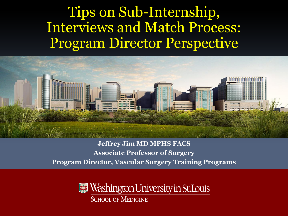# Tips on Sub-Internship, Interviews and Match Process: Program Director Perspective



**Jeffrey Jim MD MPHS FACS Associate Professor of Surgery Program Director, Vascular Surgery Training Programs**

> Washington University in St.Louis **SCHOOL OF MEDICINE**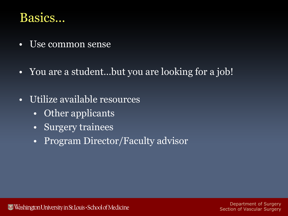#### Basics…

- Use common sense
- You are a student...but you are looking for a job!
- Utilize available resources
	- Other applicants
	- Surgery trainees
	- Program Director/Faculty advisor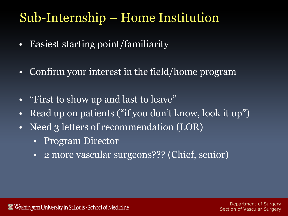# Sub-Internship – Home Institution

- Easiest starting point/familiarity
- Confirm your interest in the field/home program
- "First to show up and last to leave"
- Read up on patients ("if you don't know, look it up")
- Need 3 letters of recommendation (LOR)
	- Program Director
	- 2 more vascular surgeons??? (Chief, senior)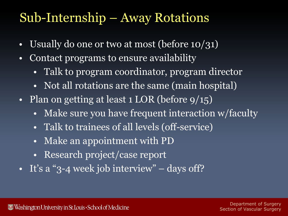### Sub-Internship – Away Rotations

- Usually do one or two at most (before 10/31)
- Contact programs to ensure availability
	- Talk to program coordinator, program director
	- Not all rotations are the same (main hospital)
- Plan on getting at least 1 LOR (before  $9/15$ )
	- Make sure you have frequent interaction w/faculty
	- Talk to trainees of all levels (off-service)
	- Make an appointment with PD
	- Research project/case report
- It's a "3-4 week job interview" days off?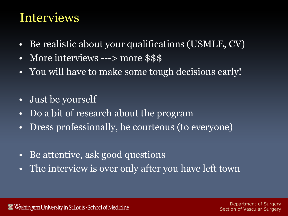### Interviews

- Be realistic about your qualifications (USMLE, CV)
- More interviews ---> more \$\$\$
- You will have to make some tough decisions early!
- Just be yourself
- Do a bit of research about the program
- Dress professionally, be courteous (to everyone)
- Be attentive, ask good questions
- The interview is over only after you have left town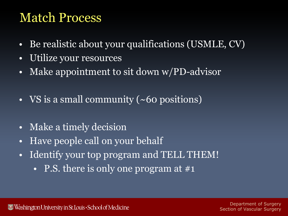#### Match Process

- Be realistic about your qualifications (USMLE, CV)
- Utilize your resources
- Make appointment to sit down w/PD-advisor
- VS is a small community (~60 positions)
- Make a timely decision
- Have people call on your behalf
- Identify your top program and TELL THEM!
	- P.S. there is only one program at #1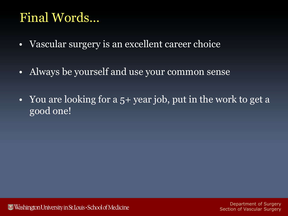# Final Words…

- Vascular surgery is an excellent career choice
- Always be yourself and use your common sense
- You are looking for a 5+ year job, put in the work to get a good one!